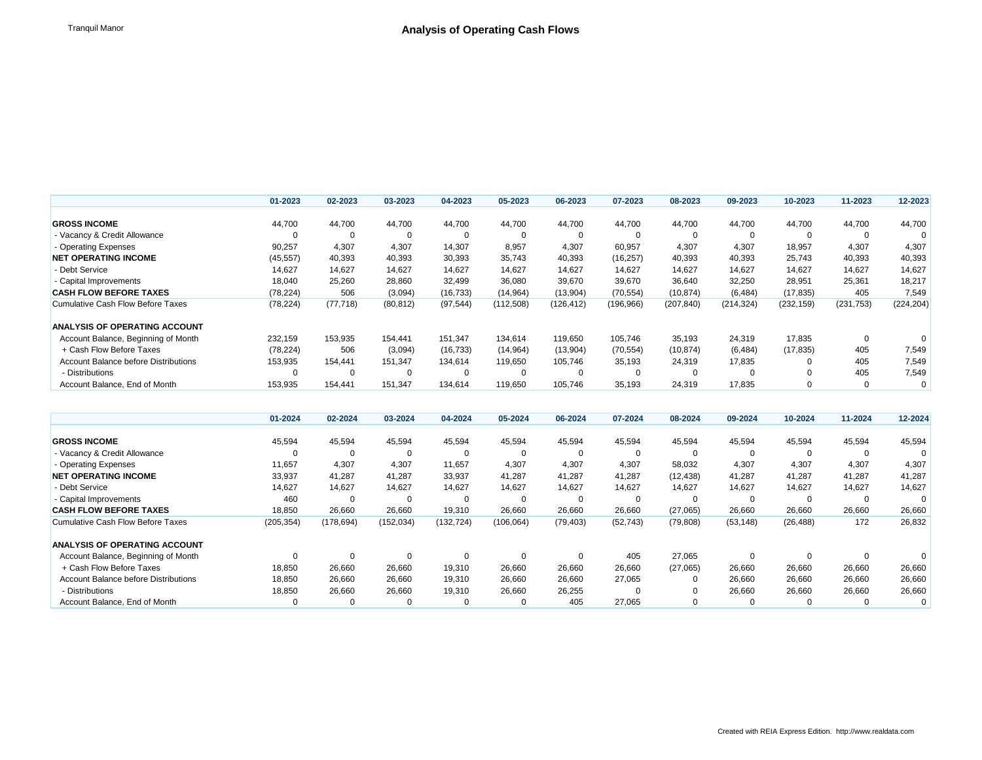|                                      | 01-2023   | 02-2023   | 03-2023   | 04-2023   | 05-2023   | 06-2023    | 07-2023    | 08-2023    | 09-2023    | 10-2023    | 11-2023    | 12-2023    |
|--------------------------------------|-----------|-----------|-----------|-----------|-----------|------------|------------|------------|------------|------------|------------|------------|
|                                      |           |           |           |           |           |            |            |            |            |            |            |            |
| <b>GROSS INCOME</b>                  | 44,700    | 44,700    | 44,700    | 44,700    | 44,700    | 44,700     | 44.700     | 44,700     | 44,700     | 44,700     | 44,700     | 44,700     |
| - Vacancy & Credit Allowance         | 0         | 0         |           | 0         | $\Omega$  |            |            |            |            |            |            |            |
| - Operating Expenses                 | 90,257    | 4,307     | 4,307     | 14,307    | 8,957     | 4,307      | 60,957     | 4,307      | 4,307      | 18,957     | 4,307      | 4,307      |
| <b>NET OPERATING INCOME</b>          | (45, 557) | 40,393    | 40,393    | 30,393    | 35,743    | 40,393     | (16, 257)  | 40,393     | 40,393     | 25,743     | 40,393     | 40,393     |
| - Debt Service                       | 14,627    | 14,627    | 14,627    | 14,627    | 14,627    | 14,627     | 14,627     | 14,627     | 14,627     | 14,627     | 14,627     | 14,627     |
| - Capital Improvements               | 18,040    | 25,260    | 28,860    | 32,499    | 36,080    | 39,670     | 39,670     | 36,640     | 32,250     | 28,951     | 25,361     | 18,217     |
| <b>CASH FLOW BEFORE TAXES</b>        | (78, 224) | 506       | (3,094)   | (16, 733) | (14, 964) | (13,904)   | (70, 554)  | (10, 874)  | (6, 484)   | (17, 835)  | 405        | 7,549      |
| Cumulative Cash Flow Before Taxes    | (78, 224) | (77, 718) | (80, 812) | (97, 544) | (112,508) | (126, 412) | (196, 966) | (207, 840) | (214, 324) | (232, 159) | (231, 753) | (224, 204) |
| <b>ANALYSIS OF OPERATING ACCOUNT</b> |           |           |           |           |           |            |            |            |            |            |            |            |
| Account Balance, Beginning of Month  | 232,159   | 153,935   | 154.441   | 151,347   | 134,614   | 119,650    | 105.746    | 35,193     | 24,319     | 17,835     |            |            |
| + Cash Flow Before Taxes             | (78, 224) | 506       | (3,094)   | (16, 733) | (14, 964) | (13,904)   | (70, 554)  | (10, 874)  | (6, 484)   | (17, 835)  | 405        | 7,549      |
| Account Balance before Distributions | 153,935   | 154.441   | 151,347   | 134,614   | 119,650   | 105,746    | 35,193     | 24,319     | 17,835     |            | 405        | 7,549      |
| - Distributions                      | 0         | 0         | -0        | 0         | $\Omega$  |            |            |            |            |            | 405        | 7,549      |
| Account Balance, End of Month        | 153,935   | 154,441   | 151,347   | 134,614   | 119,650   | 105,746    | 35,193     | 24,319     | 17,835     |            |            | 0          |

|                                          | 01-2024    | 02-2024    | 03-2024    | 04-2024    | 05-2024    | 06-2024   | 07-2024   | 08-2024   | 09-2024   | 10-2024   | 11-2024 | 12-2024 |
|------------------------------------------|------------|------------|------------|------------|------------|-----------|-----------|-----------|-----------|-----------|---------|---------|
|                                          |            |            |            |            |            |           |           |           |           |           |         |         |
| <b>GROSS INCOME</b>                      | 45,594     | 45,594     | 45,594     | 45,594     | 45,594     | 45,594    | 45,594    | 45,594    | 45,594    | 45,594    | 45,594  | 45,594  |
| - Vacancy & Credit Allowance             |            |            |            | 0          | $\Omega$   | 0         |           | 0         |           |           |         |         |
| - Operating Expenses                     | 11,657     | 4,307      | 4,307      | 11,657     | 4,307      | 4,307     | 4,307     | 58,032    | 4,307     | 4,307     | 4,307   | 4,307   |
| <b>NET OPERATING INCOME</b>              | 33,937     | 41,287     | 41,287     | 33,937     | 41,287     | 41,287    | 41,287    | (12, 438) | 41,287    | 41,287    | 41,287  | 41,287  |
| - Debt Service                           | 14,627     | 14,627     | 14,627     | 14,627     | 14,627     | 14,627    | 14,627    | 14,627    | 14,627    | 14,627    | 14,627  | 14,627  |
| - Capital Improvements                   | 460        |            |            |            | 0          |           |           | 0         |           |           |         |         |
| <b>CASH FLOW BEFORE TAXES</b>            | 18,850     | 26,660     | 26,660     | 19,310     | 26,660     | 26,660    | 26,660    | (27,065)  | 26,660    | 26,660    | 26,660  | 26,660  |
| <b>Cumulative Cash Flow Before Taxes</b> | (205, 354) | (178, 694) | (152, 034) | (132, 724) | (106, 064) | (79, 403) | (52, 743) | (79, 808) | (53, 148) | (26, 488) | 172     | 26,832  |
| <b>ANALYSIS OF OPERATING ACCOUNT</b>     |            |            |            |            |            |           |           |           |           |           |         |         |
| Account Balance, Beginning of Month      | $\Omega$   |            |            | $\Omega$   | $\Omega$   |           | 405       | 27,065    |           |           |         |         |
| + Cash Flow Before Taxes                 | 18,850     | 26,660     | 26,660     | 19,310     | 26,660     | 26,660    | 26,660    | (27,065)  | 26,660    | 26,660    | 26,660  | 26,660  |
| Account Balance before Distributions     | 18,850     | 26,660     | 26,660     | 19,310     | 26,660     | 26,660    | 27,065    | 0         | 26,660    | 26,660    | 26,660  | 26,660  |
| - Distributions                          | 18,850     | 26,660     | 26,660     | 19,310     | 26,660     | 26,255    |           | 0         | 26,660    | 26,660    | 26,660  | 26,660  |
| Account Balance, End of Month            |            |            |            | $\Omega$   | 0          | 405       | 27,065    | $\Omega$  |           |           |         | 0       |